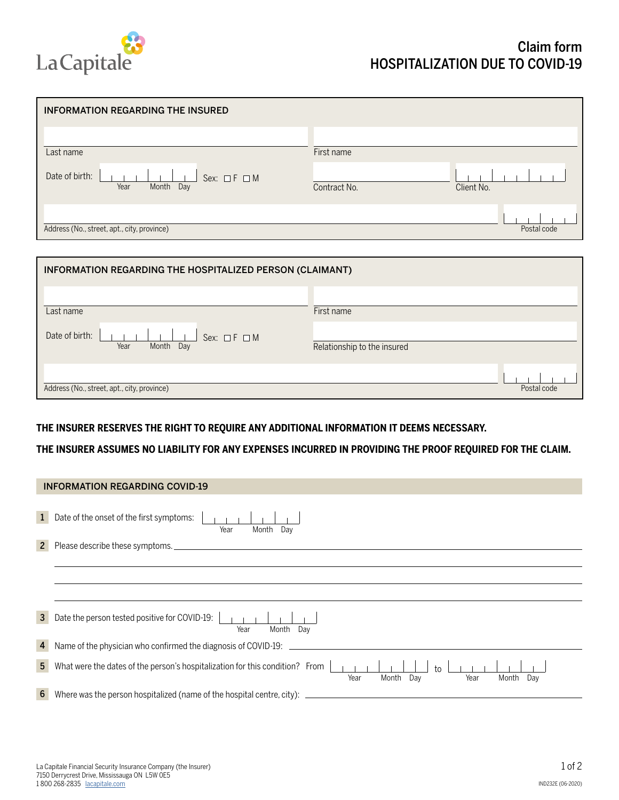

| <b>INFORMATION REGARDING THE INSURED</b>                       |              |             |
|----------------------------------------------------------------|--------------|-------------|
| Last name                                                      | First name   |             |
| Date of birth:<br>Sex: $\Box F \Box M$<br>Year<br>Month<br>Day | Contract No. | Client No.  |
| Address (No., street, apt., city, province)                    |              | Postal code |

| INFORMATION REGARDING THE HOSPITALIZED PERSON (CLAIMANT)      |                             |  |  |  |
|---------------------------------------------------------------|-----------------------------|--|--|--|
| Last name                                                     | First name                  |  |  |  |
| Date of birth:<br>Sex: $\Box$ F $\Box$ M<br>Month Day<br>Year | Relationship to the insured |  |  |  |
| Address (No., street, apt., city, province)                   | Postal code                 |  |  |  |

## **THE INSURER RESERVES THE RIGHT TO REQUIRE ANY ADDITIONAL INFORMATION IT DEEMS NECESSARY.**

**THE INSURER ASSUMES NO LIABILITY FOR ANY EXPENSES INCURRED IN PROVIDING THE PROOF REQUIRED FOR THE CLAIM.**

| <b>INFORMATION REGARDING COVID-19</b> |                                                                                                                                       |  |  |  |
|---------------------------------------|---------------------------------------------------------------------------------------------------------------------------------------|--|--|--|
|                                       | Date of the onset of the first symptoms:<br>Month<br>Year<br>Day                                                                      |  |  |  |
| $\mathbf{2}$                          | Please describe these symptoms.                                                                                                       |  |  |  |
|                                       |                                                                                                                                       |  |  |  |
|                                       |                                                                                                                                       |  |  |  |
|                                       |                                                                                                                                       |  |  |  |
| $\mathbf{3}$                          | Date the person tested positive for COVID-19:<br>Month<br>Dav<br>Year                                                                 |  |  |  |
| 4                                     | Name of the physician who confirmed the diagnosis of COVID-19:                                                                        |  |  |  |
| 5 <sup>5</sup>                        | What were the dates of the person's hospitalization for this condition? From<br>$t_0$<br>Month<br>Month<br>Year<br>Day<br>Year<br>Day |  |  |  |
| 6 <sup>1</sup>                        | Where was the person hospitalized (name of the hospital centre, city):                                                                |  |  |  |